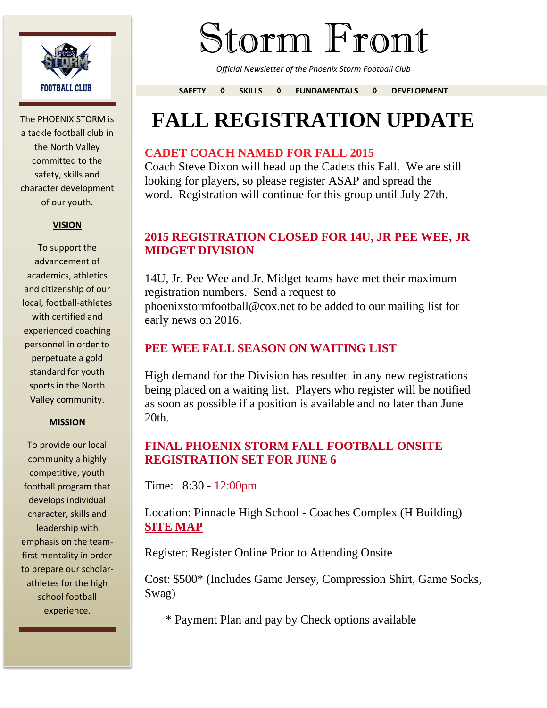

The PHOENIX STORM is a tackle football club in the North Valley committed to the safety, skills and character development of our youth.

#### **VISION**

To support the advancement of academics, athletics and citizenship of our local, football-athletes with certified and experienced coaching personnel in order to perpetuate a gold standard for youth sports in the North Valley community.

#### **MISSION**

To provide our local community a highly competitive, youth football program that develops individual character, skills and leadership with emphasis on the teamfirst mentality in order to prepare our scholarathletes for the high school football experience.

# Storm Front

*Official Newsletter of the Phoenix Storm Football Club*

**SAFETY ◊ SKILLS ◊ FUNDAMENTALS ◊ DEVELOPMENT**

## **FALL REGISTRATION UPDATE**

#### **CADET COACH NAMED FOR FALL 2015**

Coach Steve Dixon will head up the Cadets this Fall. We are still looking for players, so please register ASAP and spread the word. Registration will continue for this group until July 27th.

#### **2015 REGISTRATION CLOSED FOR 14U, JR PEE WEE, JR MIDGET DIVISION**

14U, Jr. Pee Wee and Jr. Midget teams have met their maximum registration numbers. Send a request to phoenixstormfootball@cox.net to be added to our mailing list for early news on 2016.

#### **PEE WEE FALL SEASON ON WAITING LIST**

High demand for the Division has resulted in any new registrations being placed on a waiting list. Players who register will be notified as soon as possible if a position is available and no later than June 20th.

#### **FINAL PHOENIX STORM FALL FOOTBALL ONSITE REGISTRATION SET FOR JUNE 6**

Time: 8:30 - 12:00pm

Location: Pinnacle High School - Coaches Complex (H Building) **SITE MAP**

Register: Register Online Prior to Attending Onsite

Cost: \$500\* (Includes Game Jersey, Compression Shirt, Game Socks, Swag)

\* Payment Plan and pay by Check options available